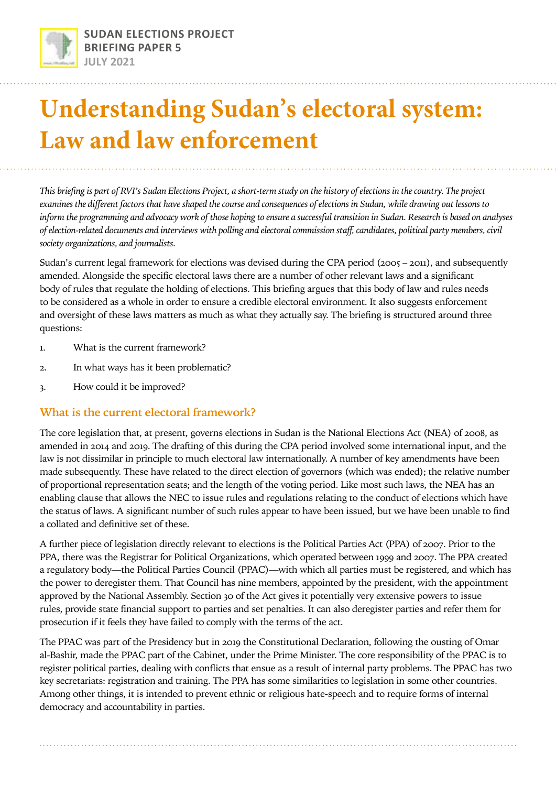

# **Understanding Sudan's electoral system: Law and law enforcement**

*This briefing is part of RVI's Sudan Elections Project, a short-term study on the history of elections in the country. The project examines the different factors that have shaped the course and consequences of elections in Sudan, while drawing out lessons to inform the programming and advocacy work of those hoping to ensure a successful transition in Sudan. Research is based on analyses of election-related documents and interviews with polling and electoral commission staff, candidates, political party members, civil society organizations, and journalists.*

Sudan's current legal framework for elections was devised during the CPA period (2005 – 2011), and subsequently amended. Alongside the specific electoral laws there are a number of other relevant laws and a significant body of rules that regulate the holding of elections. This briefing argues that this body of law and rules needs to be considered as a whole in order to ensure a credible electoral environment. It also suggests enforcement and oversight of these laws matters as much as what they actually say. The briefing is structured around three questions:

- 1. What is the current framework?
- 2. In what ways has it been problematic?
- 3. How could it be improved?

### **What is the current electoral framework?**

The core legislation that, at present, governs elections in Sudan is the National Elections Act (NEA) of 2008, as amended in 2014 and 2019. The drafting of this during the CPA period involved some international input, and the law is not dissimilar in principle to much electoral law internationally. A number of key amendments have been made subsequently. These have related to the direct election of governors (which was ended); the relative number of proportional representation seats; and the length of the voting period. Like most such laws, the NEA has an enabling clause that allows the NEC to issue rules and regulations relating to the conduct of elections which have the status of laws. A significant number of such rules appear to have been issued, but we have been unable to find a collated and definitive set of these.

A further piece of legislation directly relevant to elections is the Political Parties Act (PPA) of 2007. Prior to the PPA, there was the Registrar for Political Organizations, which operated between 1999 and 2007. The PPA created a regulatory body—the Political Parties Council (PPAC)—with which all parties must be registered, and which has the power to deregister them. That Council has nine members, appointed by the president, with the appointment approved by the National Assembly. Section 30 of the Act gives it potentially very extensive powers to issue rules, provide state financial support to parties and set penalties. It can also deregister parties and refer them for prosecution if it feels they have failed to comply with the terms of the act.

The PPAC was part of the Presidency but in 2019 the Constitutional Declaration, following the ousting of Omar al-Bashir, made the PPAC part of the Cabinet, under the Prime Minister. The core responsibility of the PPAC is to register political parties, dealing with conflicts that ensue as a result of internal party problems. The PPAC has two key secretariats: registration and training. The PPA has some similarities to legislation in some other countries. Among other things, it is intended to prevent ethnic or religious hate-speech and to require forms of internal democracy and accountability in parties.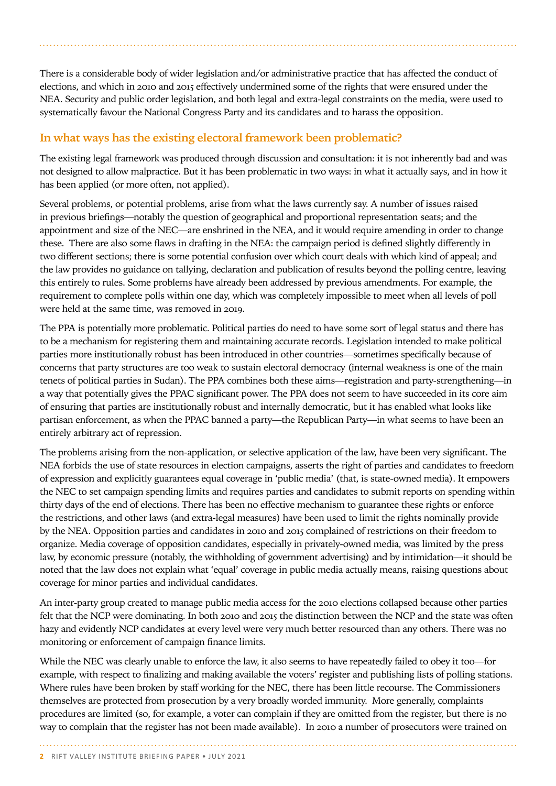There is a considerable body of wider legislation and/or administrative practice that has affected the conduct of elections, and which in 2010 and 2015 effectively undermined some of the rights that were ensured under the NEA. Security and public order legislation, and both legal and extra-legal constraints on the media, were used to systematically favour the National Congress Party and its candidates and to harass the opposition.

## **In what ways has the existing electoral framework been problematic?**

The existing legal framework was produced through discussion and consultation: it is not inherently bad and was not designed to allow malpractice. But it has been problematic in two ways: in what it actually says, and in how it has been applied (or more often, not applied).

Several problems, or potential problems, arise from what the laws currently say. A number of issues raised in previous briefings—notably the question of geographical and proportional representation seats; and the appointment and size of the NEC—are enshrined in the NEA, and it would require amending in order to change these. There are also some flaws in drafting in the NEA: the campaign period is defined slightly differently in two different sections; there is some potential confusion over which court deals with which kind of appeal; and the law provides no guidance on tallying, declaration and publication of results beyond the polling centre, leaving this entirely to rules. Some problems have already been addressed by previous amendments. For example, the requirement to complete polls within one day, which was completely impossible to meet when all levels of poll were held at the same time, was removed in 2019.

The PPA is potentially more problematic. Political parties do need to have some sort of legal status and there has to be a mechanism for registering them and maintaining accurate records. Legislation intended to make political parties more institutionally robust has been introduced in other countries—sometimes specifically because of concerns that party structures are too weak to sustain electoral democracy (internal weakness is one of the main tenets of political parties in Sudan). The PPA combines both these aims—registration and party-strengthening—in a way that potentially gives the PPAC significant power. The PPA does not seem to have succeeded in its core aim of ensuring that parties are institutionally robust and internally democratic, but it has enabled what looks like partisan enforcement, as when the PPAC banned a party—the Republican Party—in what seems to have been an entirely arbitrary act of repression.

The problems arising from the non-application, or selective application of the law, have been very significant. The NEA forbids the use of state resources in election campaigns, asserts the right of parties and candidates to freedom of expression and explicitly guarantees equal coverage in 'public media' (that, is state-owned media). It empowers the NEC to set campaign spending limits and requires parties and candidates to submit reports on spending within thirty days of the end of elections. There has been no effective mechanism to guarantee these rights or enforce the restrictions, and other laws (and extra-legal measures) have been used to limit the rights nominally provide by the NEA. Opposition parties and candidates in 2010 and 2015 complained of restrictions on their freedom to organize. Media coverage of opposition candidates, especially in privately-owned media, was limited by the press law, by economic pressure (notably, the withholding of government advertising) and by intimidation—it should be noted that the law does not explain what 'equal' coverage in public media actually means, raising questions about coverage for minor parties and individual candidates.

An inter-party group created to manage public media access for the 2010 elections collapsed because other parties felt that the NCP were dominating. In both 2010 and 2015 the distinction between the NCP and the state was often hazy and evidently NCP candidates at every level were very much better resourced than any others. There was no monitoring or enforcement of campaign finance limits.

While the NEC was clearly unable to enforce the law, it also seems to have repeatedly failed to obey it too—for example, with respect to finalizing and making available the voters' register and publishing lists of polling stations. Where rules have been broken by staff working for the NEC, there has been little recourse. The Commissioners themselves are protected from prosecution by a very broadly worded immunity. More generally, complaints procedures are limited (so, for example, a voter can complain if they are omitted from the register, but there is no way to complain that the register has not been made available). In 2010 a number of prosecutors were trained on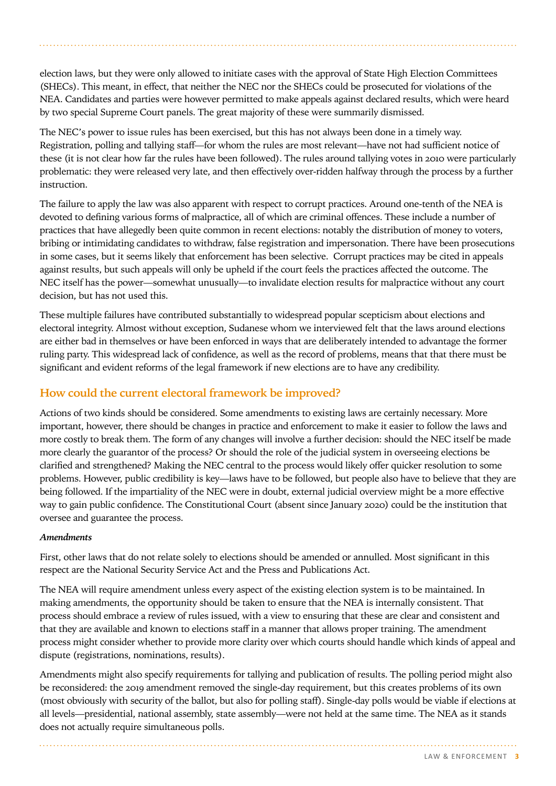election laws, but they were only allowed to initiate cases with the approval of State High Election Committees (SHECs). This meant, in effect, that neither the NEC nor the SHECs could be prosecuted for violations of the NEA. Candidates and parties were however permitted to make appeals against declared results, which were heard by two special Supreme Court panels. The great majority of these were summarily dismissed.

The NEC's power to issue rules has been exercised, but this has not always been done in a timely way. Registration, polling and tallying staff—for whom the rules are most relevant—have not had sufficient notice of these (it is not clear how far the rules have been followed). The rules around tallying votes in 2010 were particularly problematic: they were released very late, and then effectively over-ridden halfway through the process by a further instruction.

The failure to apply the law was also apparent with respect to corrupt practices. Around one-tenth of the NEA is devoted to defining various forms of malpractice, all of which are criminal offences. These include a number of practices that have allegedly been quite common in recent elections: notably the distribution of money to voters, bribing or intimidating candidates to withdraw, false registration and impersonation. There have been prosecutions in some cases, but it seems likely that enforcement has been selective. Corrupt practices may be cited in appeals against results, but such appeals will only be upheld if the court feels the practices affected the outcome. The NEC itself has the power—somewhat unusually—to invalidate election results for malpractice without any court decision, but has not used this.

These multiple failures have contributed substantially to widespread popular scepticism about elections and electoral integrity. Almost without exception, Sudanese whom we interviewed felt that the laws around elections are either bad in themselves or have been enforced in ways that are deliberately intended to advantage the former ruling party. This widespread lack of confidence, as well as the record of problems, means that that there must be significant and evident reforms of the legal framework if new elections are to have any credibility.

## **How could the current electoral framework be improved?**

Actions of two kinds should be considered. Some amendments to existing laws are certainly necessary. More important, however, there should be changes in practice and enforcement to make it easier to follow the laws and more costly to break them. The form of any changes will involve a further decision: should the NEC itself be made more clearly the guarantor of the process? Or should the role of the judicial system in overseeing elections be clarified and strengthened? Making the NEC central to the process would likely offer quicker resolution to some problems. However, public credibility is key—laws have to be followed, but people also have to believe that they are being followed. If the impartiality of the NEC were in doubt, external judicial overview might be a more effective way to gain public confidence. The Constitutional Court (absent since January 2020) could be the institution that oversee and guarantee the process.

#### *Amendments*

First, other laws that do not relate solely to elections should be amended or annulled. Most significant in this respect are the National Security Service Act and the Press and Publications Act.

The NEA will require amendment unless every aspect of the existing election system is to be maintained. In making amendments, the opportunity should be taken to ensure that the NEA is internally consistent. That process should embrace a review of rules issued, with a view to ensuring that these are clear and consistent and that they are available and known to elections staff in a manner that allows proper training. The amendment process might consider whether to provide more clarity over which courts should handle which kinds of appeal and dispute (registrations, nominations, results).

Amendments might also specify requirements for tallying and publication of results. The polling period might also be reconsidered: the 2019 amendment removed the single-day requirement, but this creates problems of its own (most obviously with security of the ballot, but also for polling staff). Single-day polls would be viable if elections at all levels—presidential, national assembly, state assembly—were not held at the same time. The NEA as it stands does not actually require simultaneous polls.